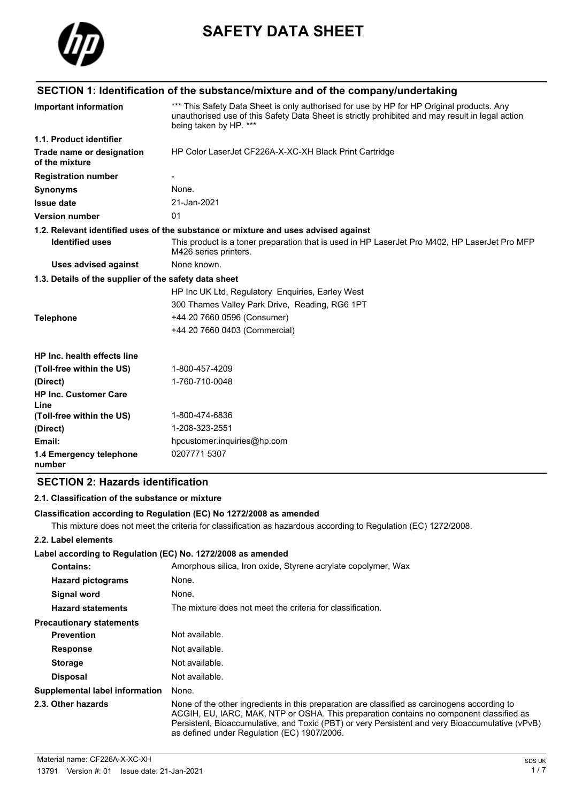

# **SAFETY DATA SHEET**

|                                                       | SECTION 1: Identification of the substance/mixture and of the company/undertaking                                                                                                                                       |
|-------------------------------------------------------|-------------------------------------------------------------------------------------------------------------------------------------------------------------------------------------------------------------------------|
| <b>Important information</b>                          | *** This Safety Data Sheet is only authorised for use by HP for HP Original products. Any<br>unauthorised use of this Safety Data Sheet is strictly prohibited and may result in legal action<br>being taken by HP. *** |
| 1.1. Product identifier                               |                                                                                                                                                                                                                         |
| Trade name or designation<br>of the mixture           | HP Color LaserJet CF226A-X-XC-XH Black Print Cartridge                                                                                                                                                                  |
| <b>Registration number</b>                            |                                                                                                                                                                                                                         |
| <b>Synonyms</b>                                       | None.                                                                                                                                                                                                                   |
| <b>Issue date</b>                                     | 21-Jan-2021                                                                                                                                                                                                             |
| <b>Version number</b>                                 | 01                                                                                                                                                                                                                      |
|                                                       | 1.2. Relevant identified uses of the substance or mixture and uses advised against                                                                                                                                      |
| <b>Identified uses</b>                                | This product is a toner preparation that is used in HP LaserJet Pro M402, HP LaserJet Pro MFP<br>M426 series printers.                                                                                                  |
| Uses advised against                                  | None known.                                                                                                                                                                                                             |
| 1.3. Details of the supplier of the safety data sheet |                                                                                                                                                                                                                         |
|                                                       | HP Inc UK Ltd, Regulatory Enquiries, Earley West                                                                                                                                                                        |
|                                                       | 300 Thames Valley Park Drive, Reading, RG6 1PT                                                                                                                                                                          |
| <b>Telephone</b>                                      | +44 20 7660 0596 (Consumer)                                                                                                                                                                                             |
|                                                       | +44 20 7660 0403 (Commercial)                                                                                                                                                                                           |
| <b>HP Inc. health effects line</b>                    |                                                                                                                                                                                                                         |
| (Toll-free within the US)                             | 1-800-457-4209                                                                                                                                                                                                          |
| (Direct)                                              | 1-760-710-0048                                                                                                                                                                                                          |
| <b>HP Inc. Customer Care</b><br>Line                  |                                                                                                                                                                                                                         |
| (Toll-free within the US)                             | 1-800-474-6836                                                                                                                                                                                                          |
| (Direct)                                              | 1-208-323-2551                                                                                                                                                                                                          |
| Email:                                                | hpcustomer.inquiries@hp.com                                                                                                                                                                                             |
| 1.4 Emergency telephone<br>number                     | 0207771 5307                                                                                                                                                                                                            |

## **SECTION 2: Hazards identification**

#### **2.1. Classification of the substance or mixture**

#### **Classification according to Regulation (EC) No 1272/2008 as amended**

This mixture does not meet the criteria for classification as hazardous according to Regulation (EC) 1272/2008.

#### **2.2. Label elements**

#### **Label according to Regulation (EC) No. 1272/2008 as amended**

| <b>Contains:</b>                | Amorphous silica, Iron oxide, Styrene acrylate copolymer, Wax                                                                                                                                                                                                                                                                             |
|---------------------------------|-------------------------------------------------------------------------------------------------------------------------------------------------------------------------------------------------------------------------------------------------------------------------------------------------------------------------------------------|
| <b>Hazard pictograms</b>        | None.                                                                                                                                                                                                                                                                                                                                     |
| Signal word                     | None.                                                                                                                                                                                                                                                                                                                                     |
| <b>Hazard statements</b>        | The mixture does not meet the criteria for classification.                                                                                                                                                                                                                                                                                |
| <b>Precautionary statements</b> |                                                                                                                                                                                                                                                                                                                                           |
| <b>Prevention</b>               | Not available.                                                                                                                                                                                                                                                                                                                            |
| <b>Response</b>                 | Not available.                                                                                                                                                                                                                                                                                                                            |
| <b>Storage</b>                  | Not available.                                                                                                                                                                                                                                                                                                                            |
| <b>Disposal</b>                 | Not available.                                                                                                                                                                                                                                                                                                                            |
| Supplemental label information  | None.                                                                                                                                                                                                                                                                                                                                     |
| 2.3. Other hazards              | None of the other ingredients in this preparation are classified as carcinogens according to<br>ACGIH, EU, IARC, MAK, NTP or OSHA. This preparation contains no component classified as<br>Persistent, Bioaccumulative, and Toxic (PBT) or very Persistent and very Bioaccumulative (vPvB)<br>as defined under Regulation (EC) 1907/2006. |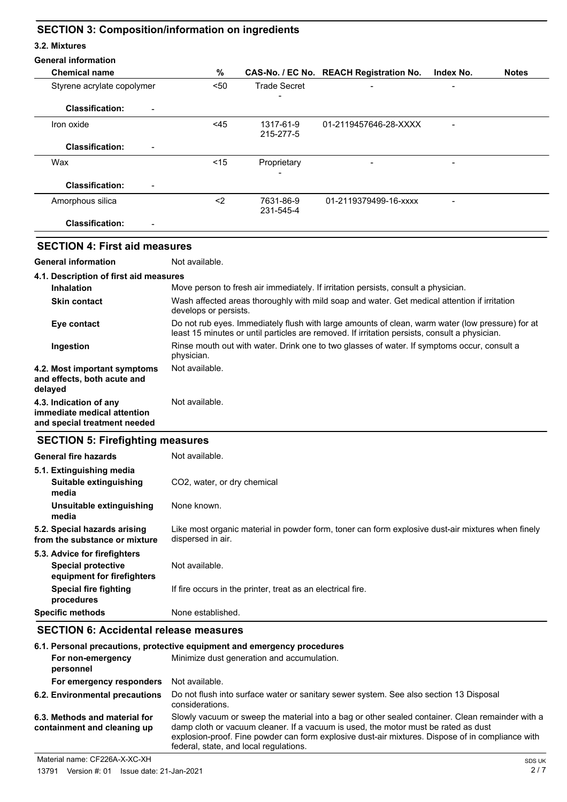# **SECTION 3: Composition/information on ingredients**

#### **3.2. Mixtures**

| <b>General information</b>                                                            |                             |                                                             |                                                                                                                                                                                                   |           |              |
|---------------------------------------------------------------------------------------|-----------------------------|-------------------------------------------------------------|---------------------------------------------------------------------------------------------------------------------------------------------------------------------------------------------------|-----------|--------------|
| <b>Chemical name</b>                                                                  | $\%$                        |                                                             | CAS-No. / EC No. REACH Registration No.                                                                                                                                                           | Index No. | <b>Notes</b> |
| Styrene acrylate copolymer                                                            | $50$                        | <b>Trade Secret</b>                                         |                                                                                                                                                                                                   |           |              |
| <b>Classification:</b>                                                                |                             |                                                             |                                                                                                                                                                                                   |           |              |
| Iron oxide                                                                            | <45                         | 1317-61-9<br>215-277-5                                      | 01-2119457646-28-XXXX                                                                                                                                                                             |           |              |
| <b>Classification:</b>                                                                |                             |                                                             |                                                                                                                                                                                                   |           |              |
| Wax                                                                                   | < 15                        | Proprietary                                                 |                                                                                                                                                                                                   |           |              |
| <b>Classification:</b>                                                                |                             |                                                             |                                                                                                                                                                                                   |           |              |
| Amorphous silica                                                                      | $2$                         | 7631-86-9<br>231-545-4                                      | 01-2119379499-16-xxxx                                                                                                                                                                             |           |              |
| <b>Classification:</b>                                                                |                             |                                                             |                                                                                                                                                                                                   |           |              |
| <b>SECTION 4: First aid measures</b>                                                  |                             |                                                             |                                                                                                                                                                                                   |           |              |
| <b>General information</b>                                                            | Not available.              |                                                             |                                                                                                                                                                                                   |           |              |
| 4.1. Description of first aid measures                                                |                             |                                                             |                                                                                                                                                                                                   |           |              |
| <b>Inhalation</b>                                                                     |                             |                                                             | Move person to fresh air immediately. If irritation persists, consult a physician.                                                                                                                |           |              |
| <b>Skin contact</b>                                                                   | develops or persists.       |                                                             | Wash affected areas thoroughly with mild soap and water. Get medical attention if irritation                                                                                                      |           |              |
| Eye contact                                                                           |                             |                                                             | Do not rub eyes. Immediately flush with large amounts of clean, warm water (low pressure) for at<br>least 15 minutes or until particles are removed. If irritation persists, consult a physician. |           |              |
| Ingestion                                                                             | physician.                  |                                                             | Rinse mouth out with water. Drink one to two glasses of water. If symptoms occur, consult a                                                                                                       |           |              |
| 4.2. Most important symptoms<br>and effects, both acute and<br>delayed                | Not available.              |                                                             |                                                                                                                                                                                                   |           |              |
| 4.3. Indication of any<br>immediate medical attention<br>and special treatment needed | Not available.              |                                                             |                                                                                                                                                                                                   |           |              |
| <b>SECTION 5: Firefighting measures</b>                                               |                             |                                                             |                                                                                                                                                                                                   |           |              |
| <b>General fire hazards</b>                                                           | Not available.              |                                                             |                                                                                                                                                                                                   |           |              |
| 5.1. Extinguishing media<br>Suitable extinguishing<br>media                           | CO2, water, or dry chemical |                                                             |                                                                                                                                                                                                   |           |              |
| Unsuitable extinguishing<br>media                                                     | None known.                 |                                                             |                                                                                                                                                                                                   |           |              |
| 5.2. Special hazards arising<br>from the substance or mixture                         | dispersed in air.           |                                                             | Like most organic material in powder form, toner can form explosive dust-air mixtures when finely                                                                                                 |           |              |
| 5.3. Advice for firefighters                                                          |                             |                                                             |                                                                                                                                                                                                   |           |              |
| <b>Special protective</b><br>equipment for firefighters                               | Not available.              |                                                             |                                                                                                                                                                                                   |           |              |
| <b>Special fire fighting</b><br>procedures                                            |                             | If fire occurs in the printer, treat as an electrical fire. |                                                                                                                                                                                                   |           |              |

# **Specific methods** None established. **SECTION 6: Accidental release measures**

| 6.1. Personal precautions, protective equipment and emergency procedures |                                                                                                                                                                                                                                                                                                                                      |  |
|--------------------------------------------------------------------------|--------------------------------------------------------------------------------------------------------------------------------------------------------------------------------------------------------------------------------------------------------------------------------------------------------------------------------------|--|
| For non-emergency<br>personnel                                           | Minimize dust generation and accumulation.                                                                                                                                                                                                                                                                                           |  |
| For emergency responders                                                 | Not available.                                                                                                                                                                                                                                                                                                                       |  |
| 6.2. Environmental precautions                                           | Do not flush into surface water or sanitary sewer system. See also section 13 Disposal<br>considerations.                                                                                                                                                                                                                            |  |
| 6.3. Methods and material for<br>containment and cleaning up             | Slowly vacuum or sweep the material into a bag or other sealed container. Clean remainder with a<br>damp cloth or vacuum cleaner. If a vacuum is used, the motor must be rated as dust<br>explosion-proof. Fine powder can form explosive dust-air mixtures. Dispose of in compliance with<br>federal, state, and local regulations. |  |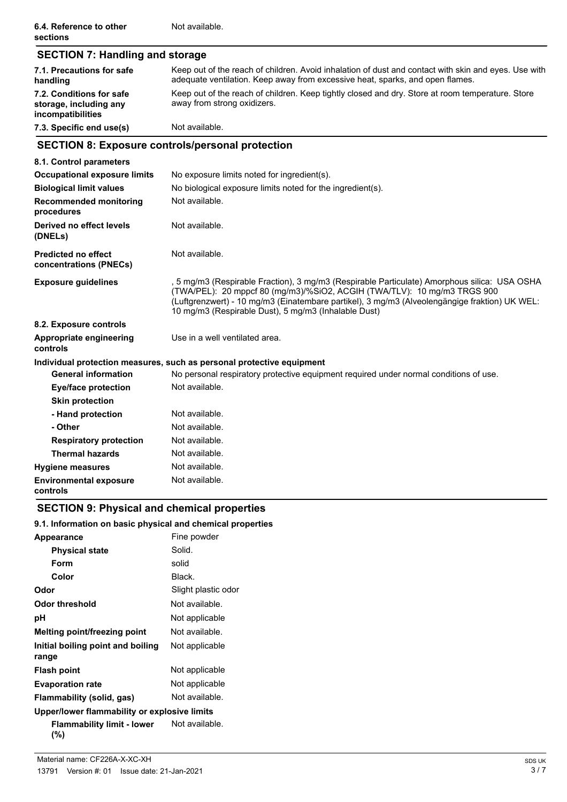| ---------                                                               | .                                                                                                                                                                                     |  |
|-------------------------------------------------------------------------|---------------------------------------------------------------------------------------------------------------------------------------------------------------------------------------|--|
| 7.3. Specific end use(s)                                                | Not available.                                                                                                                                                                        |  |
| 7.2. Conditions for safe<br>storage, including any<br>incompatibilities | Keep out of the reach of children. Keep tightly closed and dry. Store at room temperature. Store<br>away from strong oxidizers.                                                       |  |
| 7.1. Precautions for safe<br>handling                                   | Keep out of the reach of children. Avoid inhalation of dust and contact with skin and eyes. Use with<br>adequate ventilation. Keep away from excessive heat, sparks, and open flames. |  |
| <b>SECTION 7: Handling and storage</b>                                  |                                                                                                                                                                                       |  |

# **SECTION 8: Exposure controls/personal protection**

| 8.1. Control parameters                              |                                                                                                                                                                                                                                                                                                                                   |
|------------------------------------------------------|-----------------------------------------------------------------------------------------------------------------------------------------------------------------------------------------------------------------------------------------------------------------------------------------------------------------------------------|
| <b>Occupational exposure limits</b>                  | No exposure limits noted for ingredient(s).                                                                                                                                                                                                                                                                                       |
| <b>Biological limit values</b>                       | No biological exposure limits noted for the ingredient(s).                                                                                                                                                                                                                                                                        |
| <b>Recommended monitoring</b><br>procedures          | Not available.                                                                                                                                                                                                                                                                                                                    |
| Derived no effect levels<br>(DNELs)                  | Not available.                                                                                                                                                                                                                                                                                                                    |
| <b>Predicted no effect</b><br>concentrations (PNECs) | Not available.                                                                                                                                                                                                                                                                                                                    |
| <b>Exposure guidelines</b>                           | , 5 mg/m3 (Respirable Fraction), 3 mg/m3 (Respirable Particulate) Amorphous silica: USA OSHA<br>(TWA/PEL): 20 mppcf 80 (mg/m3)/%SiO2, ACGIH (TWA/TLV): 10 mg/m3 TRGS 900<br>(Luftgrenzwert) - 10 mg/m3 (Einatembare partikel), 3 mg/m3 (Alveolengängige fraktion) UK WEL:<br>10 mg/m3 (Respirable Dust), 5 mg/m3 (Inhalable Dust) |
| 8.2. Exposure controls                               |                                                                                                                                                                                                                                                                                                                                   |
| <b>Appropriate engineering</b><br>controls           | Use in a well ventilated area.                                                                                                                                                                                                                                                                                                    |
|                                                      | Individual protection measures, such as personal protective equipment                                                                                                                                                                                                                                                             |
| <b>General information</b>                           | No personal respiratory protective equipment required under normal conditions of use.                                                                                                                                                                                                                                             |
| Eye/face protection                                  | Not available.                                                                                                                                                                                                                                                                                                                    |
| <b>Skin protection</b>                               |                                                                                                                                                                                                                                                                                                                                   |
| - Hand protection                                    | Not available.                                                                                                                                                                                                                                                                                                                    |
| - Other                                              | Not available.                                                                                                                                                                                                                                                                                                                    |
| <b>Respiratory protection</b>                        | Not available.                                                                                                                                                                                                                                                                                                                    |
| <b>Thermal hazards</b>                               | Not available.                                                                                                                                                                                                                                                                                                                    |
| <b>Hygiene measures</b>                              | Not available.                                                                                                                                                                                                                                                                                                                    |
| <b>Environmental exposure</b><br>controls            | Not available.                                                                                                                                                                                                                                                                                                                    |

# **SECTION 9: Physical and chemical properties**

#### **9.1. Information on basic physical and chemical properties**

| Appearance                                   | Fine powder         |
|----------------------------------------------|---------------------|
| <b>Physical state</b>                        | Solid.              |
| Form                                         | solid               |
| Color                                        | Black.              |
| Odor                                         | Slight plastic odor |
| Odor threshold                               | Not available.      |
| рH                                           | Not applicable      |
| Melting point/freezing point                 | Not available.      |
| Initial boiling point and boiling<br>range   | Not applicable      |
| <b>Flash point</b>                           | Not applicable      |
| <b>Evaporation rate</b>                      | Not applicable      |
| Flammability (solid, gas)                    | Not available.      |
| Upper/lower flammability or explosive limits |                     |
| Flammability limit - lower<br>(%)            | Not available.      |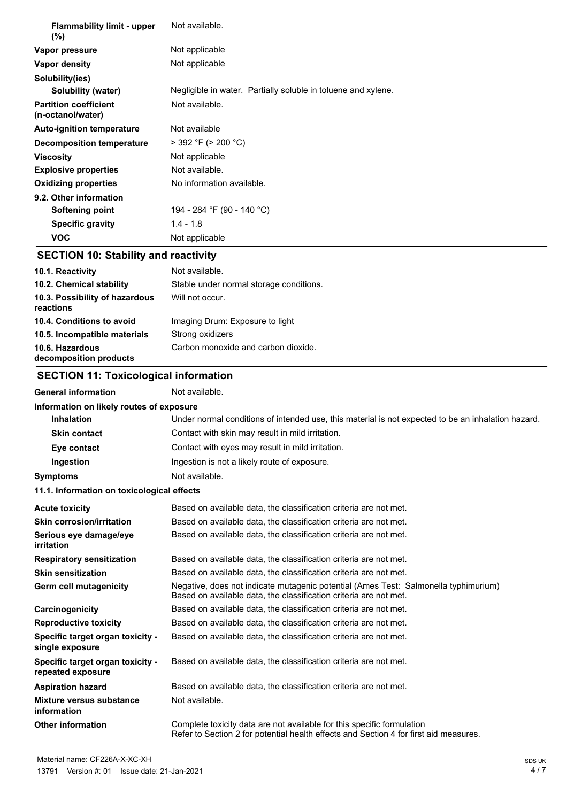| <b>Flammability limit - upper</b><br>(%)          | Not available.                                                |
|---------------------------------------------------|---------------------------------------------------------------|
| Vapor pressure                                    | Not applicable                                                |
| Vapor density                                     | Not applicable                                                |
| Solubility(ies)                                   |                                                               |
| Solubility (water)                                | Negligible in water. Partially soluble in toluene and xylene. |
| <b>Partition coefficient</b><br>(n-octanol/water) | Not available.                                                |
| <b>Auto-ignition temperature</b>                  | Not available                                                 |
| Decomposition temperature                         | $>$ 392 °F ( $>$ 200 °C)                                      |
| <b>Viscosity</b>                                  | Not applicable                                                |
| <b>Explosive properties</b>                       | Not available.                                                |
| <b>Oxidizing properties</b>                       | No information available.                                     |
| 9.2. Other information                            |                                                               |
| Softening point                                   | 194 - 284 °F (90 - 140 °C)                                    |
| <b>Specific gravity</b>                           | $1.4 - 1.8$                                                   |
| <b>VOC</b>                                        | Not applicable                                                |

#### **SECTION 10: Stability and reactivity**

| 10.1. Reactivity                            | Not available.                          |
|---------------------------------------------|-----------------------------------------|
| 10.2. Chemical stability                    | Stable under normal storage conditions. |
| 10.3. Possibility of hazardous<br>reactions | Will not occur.                         |
| 10.4. Conditions to avoid                   | Imaging Drum: Exposure to light         |
| 10.5. Incompatible materials                | Strong oxidizers                        |
| 10.6. Hazardous<br>decomposition products   | Carbon monoxide and carbon dioxide.     |

# **SECTION 11: Toxicological information**

## General information **Not available. Information on likely routes of exposure Inhalation** Under normal conditions of intended use, this material is not expected to be an inhalation hazard. **Skin contact** Contact with skin may result in mild irritation. **Eye contact Exercise Contact Contact with eyes may result in mild irritation. Ingestion** Ingestion is not a likely route of exposure. **Symptoms** Not available. **11.1. Information on toxicological effects Acute toxicity** Based on available data, the classification criteria are not met. **Skin corrosion/irritation** Based on available data, the classification criteria are not met. **Serious eye damage/eye** Based on available data, the classification criteria are not met. **irritation Respiratory sensitization** Based on available data, the classification criteria are not met. **Skin sensitization** Based on available data, the classification criteria are not met. Negative, does not indicate mutagenic potential (Ames Test: Salmonella typhimurium) Based on available data, the classification criteria are not met. **Germ cell mutagenicity Carcinogenicity** Based on available data, the classification criteria are not met. **Reproductive toxicity** Based on available data, the classification criteria are not met. **Specific target organ toxicity single exposure** Based on available data, the classification criteria are not met. **Specific target organ toxicity repeated exposure** Based on available data, the classification criteria are not met. **Aspiration hazard** Based on available data, the classification criteria are not met. **Mixture versus substance** Not available. **information Other information Complete toxicity data are not available for this specific formulation** Refer to Section 2 for potential health effects and Section 4 for first aid measures.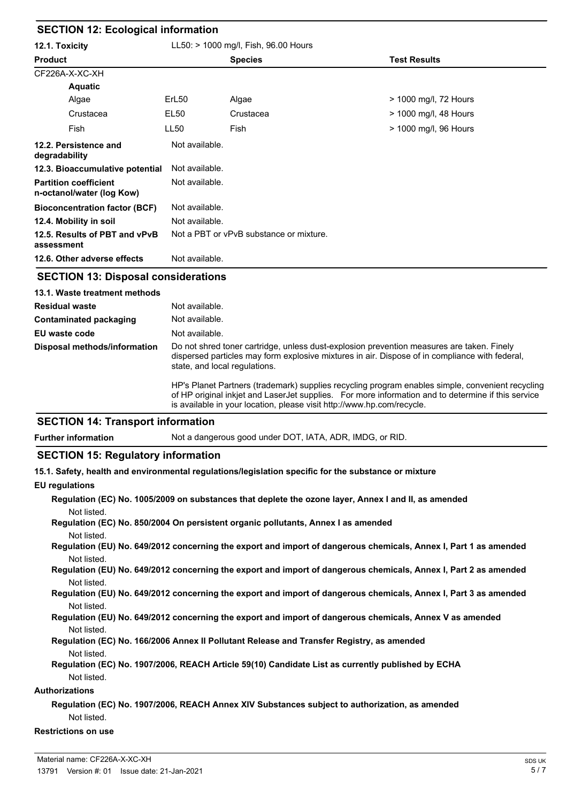| <b>SECTION 12: Ecological information</b>                 |                                      |                                         |                       |  |
|-----------------------------------------------------------|--------------------------------------|-----------------------------------------|-----------------------|--|
| 12.1. Toxicity                                            | LL50: > 1000 mg/l, Fish, 96.00 Hours |                                         |                       |  |
| <b>Product</b>                                            |                                      | <b>Species</b>                          | <b>Test Results</b>   |  |
| CF226A-X-XC-XH                                            |                                      |                                         |                       |  |
| <b>Aquatic</b>                                            |                                      |                                         |                       |  |
| Algae                                                     | ErL <sub>50</sub>                    | Algae                                   | > 1000 mg/l, 72 Hours |  |
| Crustacea                                                 | EL50                                 | Crustacea                               | > 1000 mg/l, 48 Hours |  |
| Fish                                                      | <b>LL50</b>                          | Fish                                    | > 1000 mg/l, 96 Hours |  |
| 12.2. Persistence and<br>degradability                    | Not available.                       |                                         |                       |  |
| 12.3. Bioaccumulative potential                           | Not available.                       |                                         |                       |  |
| <b>Partition coefficient</b><br>n-octanol/water (log Kow) | Not available.                       |                                         |                       |  |
| <b>Bioconcentration factor (BCF)</b>                      | Not available.                       |                                         |                       |  |
| 12.4. Mobility in soil                                    | Not available.                       |                                         |                       |  |
| 12.5. Results of PBT and vPvB<br>assessment               |                                      | Not a PBT or vPvB substance or mixture. |                       |  |
| 12.6. Other adverse effects                               | Not available.                       |                                         |                       |  |

# **SECTION 13: Disposal considerations**

| 13.1. Waste treatment methods |                                                                                                                                                                                                                                                                                   |
|-------------------------------|-----------------------------------------------------------------------------------------------------------------------------------------------------------------------------------------------------------------------------------------------------------------------------------|
| <b>Residual waste</b>         | Not available.                                                                                                                                                                                                                                                                    |
| <b>Contaminated packaging</b> | Not available.                                                                                                                                                                                                                                                                    |
| EU waste code                 | Not available.                                                                                                                                                                                                                                                                    |
| Disposal methods/information  | Do not shred toner cartridge, unless dust-explosion prevention measures are taken. Finely<br>dispersed particles may form explosive mixtures in air. Dispose of in compliance with federal,<br>state, and local regulations.                                                      |
|                               | HP's Planet Partners (trademark) supplies recycling program enables simple, convenient recycling<br>of HP original inkiet and Laser Jet supplies. For more information and to determine if this service<br>is available in your location, please visit http://www.hp.com/recycle. |

## **SECTION 14: Transport information**

**Further information** Not a dangerous good under DOT, IATA, ADR, IMDG, or RID.

# **SECTION 15: Regulatory information**

**15.1. Safety, health and environmental regulations/legislation specific for the substance or mixture**

#### **EU regulations**

- **Regulation (EC) No. 1005/2009 on substances that deplete the ozone layer, Annex I and II, as amended** Not listed. **Regulation (EC) No. 850/2004 On persistent organic pollutants, Annex I as amended** Not listed.
- **Regulation (EU) No. 649/2012 concerning the export and import of dangerous chemicals, Annex I, Part 1 as amended** Not listed.
- **Regulation (EU) No. 649/2012 concerning the export and import of dangerous chemicals, Annex I, Part 2 as amended** Not listed.
- **Regulation (EU) No. 649/2012 concerning the export and import of dangerous chemicals, Annex I, Part 3 as amended** Not listed.
- **Regulation (EU) No. 649/2012 concerning the export and import of dangerous chemicals, Annex V as amended** Not listed.
- **Regulation (EC) No. 166/2006 Annex II Pollutant Release and Transfer Registry, as amended** Not listed.
- **Regulation (EC) No. 1907/2006, REACH Article 59(10) Candidate List as currently published by ECHA** Not listed.

#### **Authorizations**

**Regulation (EC) No. 1907/2006, REACH Annex XIV Substances subject to authorization, as amended** Not listed.

#### **Restrictions on use**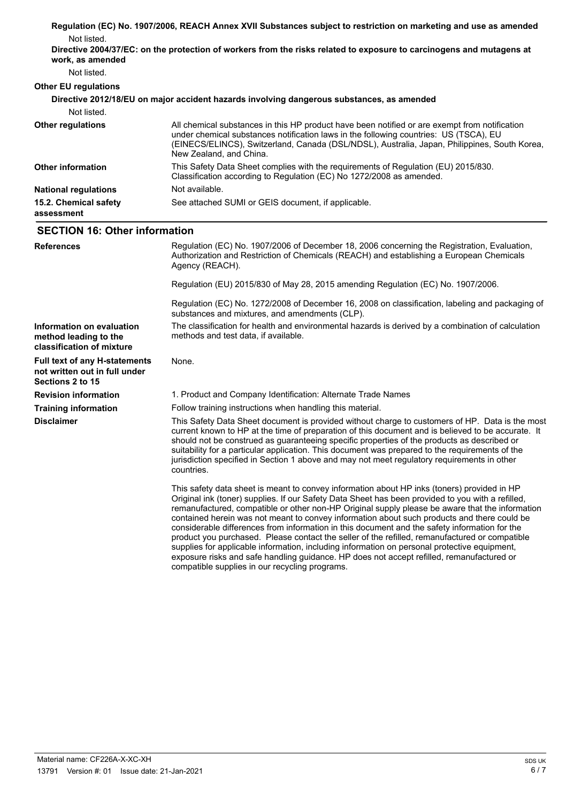| Not listed.                                                                               | Regulation (EC) No. 1907/2006, REACH Annex XVII Substances subject to restriction on marketing and use as amended                                                                                                                                                                                                                                                                                                                                                                                                                                                                                                                                                                                                                                                                                  |
|-------------------------------------------------------------------------------------------|----------------------------------------------------------------------------------------------------------------------------------------------------------------------------------------------------------------------------------------------------------------------------------------------------------------------------------------------------------------------------------------------------------------------------------------------------------------------------------------------------------------------------------------------------------------------------------------------------------------------------------------------------------------------------------------------------------------------------------------------------------------------------------------------------|
| work, as amended                                                                          | Directive 2004/37/EC: on the protection of workers from the risks related to exposure to carcinogens and mutagens at                                                                                                                                                                                                                                                                                                                                                                                                                                                                                                                                                                                                                                                                               |
| Not listed.                                                                               |                                                                                                                                                                                                                                                                                                                                                                                                                                                                                                                                                                                                                                                                                                                                                                                                    |
| <b>Other EU regulations</b>                                                               |                                                                                                                                                                                                                                                                                                                                                                                                                                                                                                                                                                                                                                                                                                                                                                                                    |
|                                                                                           | Directive 2012/18/EU on major accident hazards involving dangerous substances, as amended                                                                                                                                                                                                                                                                                                                                                                                                                                                                                                                                                                                                                                                                                                          |
| Not listed.                                                                               |                                                                                                                                                                                                                                                                                                                                                                                                                                                                                                                                                                                                                                                                                                                                                                                                    |
| <b>Other regulations</b>                                                                  | All chemical substances in this HP product have been notified or are exempt from notification<br>under chemical substances notification laws in the following countries: US (TSCA), EU<br>(EINECS/ELINCS), Switzerland, Canada (DSL/NDSL), Australia, Japan, Philippines, South Korea,<br>New Zealand, and China.                                                                                                                                                                                                                                                                                                                                                                                                                                                                                  |
| <b>Other information</b>                                                                  | This Safety Data Sheet complies with the requirements of Regulation (EU) 2015/830.<br>Classification according to Regulation (EC) No 1272/2008 as amended.                                                                                                                                                                                                                                                                                                                                                                                                                                                                                                                                                                                                                                         |
| <b>National regulations</b>                                                               | Not available.                                                                                                                                                                                                                                                                                                                                                                                                                                                                                                                                                                                                                                                                                                                                                                                     |
| 15.2. Chemical safety<br>assessment                                                       | See attached SUMI or GEIS document, if applicable.                                                                                                                                                                                                                                                                                                                                                                                                                                                                                                                                                                                                                                                                                                                                                 |
| <b>SECTION 16: Other information</b>                                                      |                                                                                                                                                                                                                                                                                                                                                                                                                                                                                                                                                                                                                                                                                                                                                                                                    |
| <b>References</b>                                                                         | Regulation (EC) No. 1907/2006 of December 18, 2006 concerning the Registration, Evaluation,<br>Authorization and Restriction of Chemicals (REACH) and establishing a European Chemicals<br>Agency (REACH).                                                                                                                                                                                                                                                                                                                                                                                                                                                                                                                                                                                         |
|                                                                                           | Regulation (EU) 2015/830 of May 28, 2015 amending Regulation (EC) No. 1907/2006.                                                                                                                                                                                                                                                                                                                                                                                                                                                                                                                                                                                                                                                                                                                   |
|                                                                                           | Regulation (EC) No. 1272/2008 of December 16, 2008 on classification, labeling and packaging of<br>substances and mixtures, and amendments (CLP).                                                                                                                                                                                                                                                                                                                                                                                                                                                                                                                                                                                                                                                  |
| Information on evaluation<br>method leading to the<br>classification of mixture           | The classification for health and environmental hazards is derived by a combination of calculation<br>methods and test data, if available.                                                                                                                                                                                                                                                                                                                                                                                                                                                                                                                                                                                                                                                         |
| <b>Full text of any H-statements</b><br>not written out in full under<br>Sections 2 to 15 | None.                                                                                                                                                                                                                                                                                                                                                                                                                                                                                                                                                                                                                                                                                                                                                                                              |
| <b>Revision information</b>                                                               | 1. Product and Company Identification: Alternate Trade Names                                                                                                                                                                                                                                                                                                                                                                                                                                                                                                                                                                                                                                                                                                                                       |
| <b>Training information</b>                                                               | Follow training instructions when handling this material.                                                                                                                                                                                                                                                                                                                                                                                                                                                                                                                                                                                                                                                                                                                                          |
| <b>Disclaimer</b>                                                                         | This Safety Data Sheet document is provided without charge to customers of HP. Data is the most<br>current known to HP at the time of preparation of this document and is believed to be accurate. It<br>should not be construed as guaranteeing specific properties of the products as described or<br>suitability for a particular application. This document was prepared to the requirements of the<br>jurisdiction specified in Section 1 above and may not meet regulatory requirements in other<br>countries.                                                                                                                                                                                                                                                                               |
|                                                                                           | This safety data sheet is meant to convey information about HP inks (toners) provided in HP<br>Original ink (toner) supplies. If our Safety Data Sheet has been provided to you with a refilled,<br>remanufactured, compatible or other non-HP Original supply please be aware that the information<br>contained herein was not meant to convey information about such products and there could be<br>considerable differences from information in this document and the safety information for the<br>product you purchased. Please contact the seller of the refilled, remanufactured or compatible<br>supplies for applicable information, including information on personal protective equipment,<br>exposure risks and safe handling guidance. HP does not accept refilled, remanufactured or |

compatible supplies in our recycling programs.